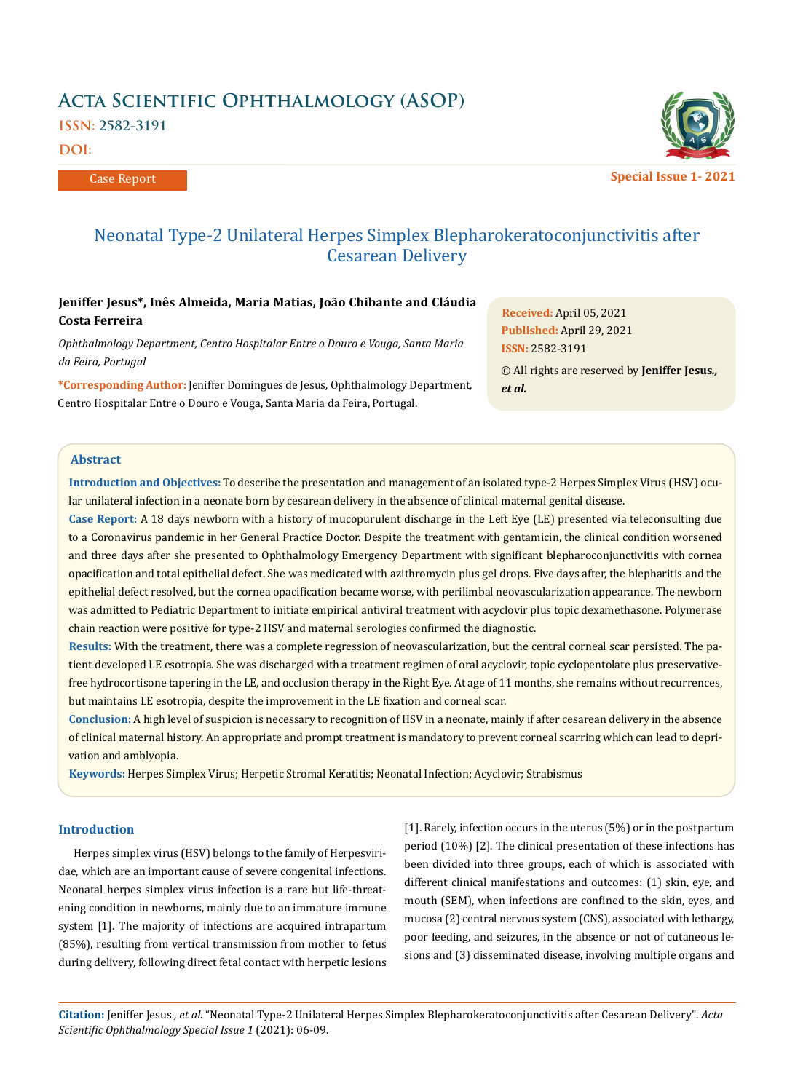# **Acta Scientific Ophthalmology (ASOP) ISSN: 2582-3191**

**DOI:** 

Case Report



# Neonatal Type-2 Unilateral Herpes Simplex Blepharokeratoconjunctivitis after Cesarean Delivery

# **Jeniffer Jesus\*, Inês Almeida, Maria Matias, João Chibante and Cláudia Costa Ferreira**

*Ophthalmology Department, Centro Hospitalar Entre o Douro e Vouga, Santa Maria da Feira, Portugal*

**\*Corresponding Author:** Jeniffer Domingues de Jesus, Ophthalmology Department, Centro Hospitalar Entre o Douro e Vouga, Santa Maria da Feira, Portugal.

**Received:** April 05, 2021 **Published:** April 29, 2021 © All rights are reserved by **Jeniffer Jesus***., et al.* **ISSN:** 2582-3191

# **Abstract**

**Introduction and Objectives:** To describe the presentation and management of an isolated type-2 Herpes Simplex Virus (HSV) ocular unilateral infection in a neonate born by cesarean delivery in the absence of clinical maternal genital disease.

**Case Report:** A 18 days newborn with a history of mucopurulent discharge in the Left Eye (LE) presented via teleconsulting due to a Coronavirus pandemic in her General Practice Doctor. Despite the treatment with gentamicin, the clinical condition worsened and three days after she presented to Ophthalmology Emergency Department with significant blepharoconjunctivitis with cornea opacification and total epithelial defect. She was medicated with azithromycin plus gel drops. Five days after, the blepharitis and the epithelial defect resolved, but the cornea opacification became worse, with perilimbal neovascularization appearance. The newborn was admitted to Pediatric Department to initiate empirical antiviral treatment with acyclovir plus topic dexamethasone. Polymerase chain reaction were positive for type-2 HSV and maternal serologies confirmed the diagnostic.

**Results:** With the treatment, there was a complete regression of neovascularization, but the central corneal scar persisted. The patient developed LE esotropia. She was discharged with a treatment regimen of oral acyclovir, topic cyclopentolate plus preservativefree hydrocortisone tapering in the LE, and occlusion therapy in the Right Eye. At age of 11 months, she remains without recurrences, but maintains LE esotropia, despite the improvement in the LE fixation and corneal scar.

**Conclusion:** A high level of suspicion is necessary to recognition of HSV in a neonate, mainly if after cesarean delivery in the absence of clinical maternal history. An appropriate and prompt treatment is mandatory to prevent corneal scarring which can lead to deprivation and amblyopia.

**Keywords:** Herpes Simplex Virus; Herpetic Stromal Keratitis; Neonatal Infection; Acyclovir; Strabismus

# **Introduction**

Herpes simplex virus (HSV) belongs to the family of Herpesviridae, which are an important cause of severe congenital infections. Neonatal herpes simplex virus infection is a rare but life-threatening condition in newborns, mainly due to an immature immune system [1]. The majority of infections are acquired intrapartum (85%), resulting from vertical transmission from mother to fetus during delivery, following direct fetal contact with herpetic lesions

[1]. Rarely, infection occurs in the uterus (5%) or in the postpartum period (10%) [2]. The clinical presentation of these infections has been divided into three groups, each of which is associated with different clinical manifestations and outcomes: (1) skin, eye, and mouth (SEM), when infections are confined to the skin, eyes, and mucosa (2) central nervous system (CNS), associated with lethargy, poor feeding, and seizures, in the absence or not of cutaneous lesions and (3) disseminated disease, involving multiple organs and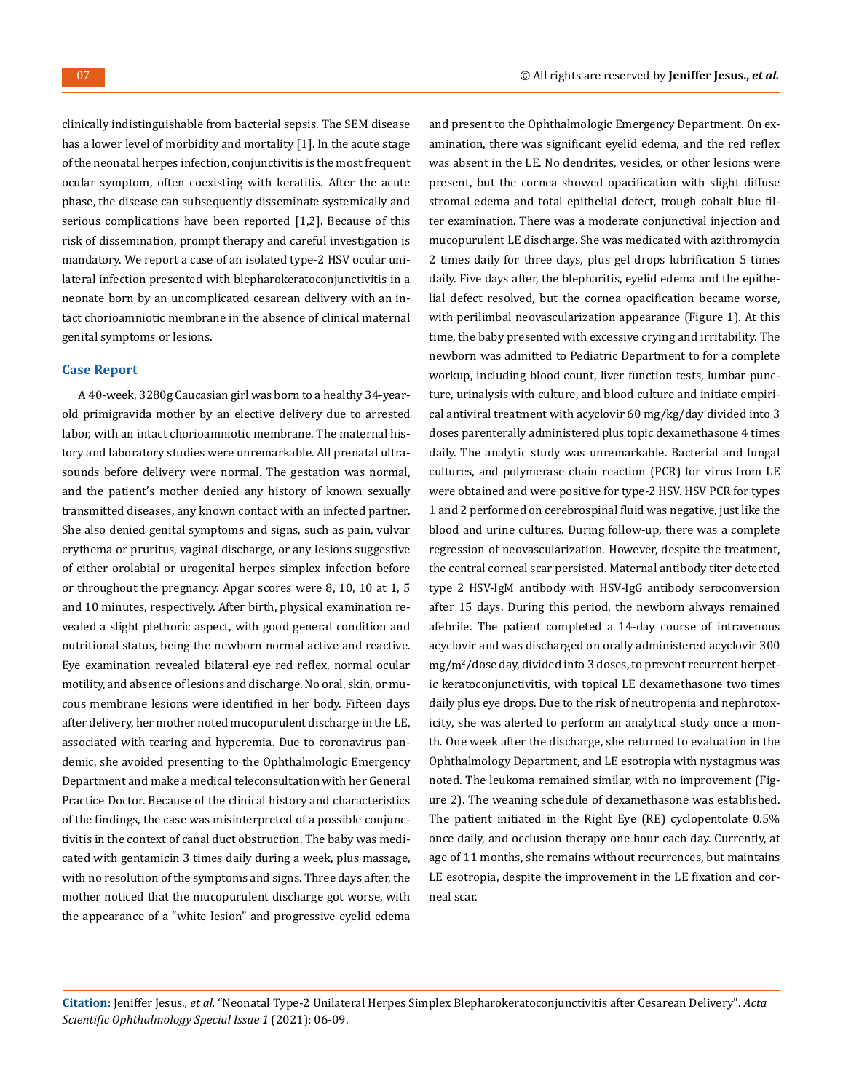clinically indistinguishable from bacterial sepsis. The SEM disease has a lower level of morbidity and mortality [1]. In the acute stage of the neonatal herpes infection, conjunctivitis is the most frequent ocular symptom, often coexisting with keratitis. After the acute phase, the disease can subsequently disseminate systemically and serious complications have been reported [1,2]. Because of this risk of dissemination, prompt therapy and careful investigation is mandatory. We report a case of an isolated type-2 HSV ocular unilateral infection presented with blepharokeratoconjunctivitis in a neonate born by an uncomplicated cesarean delivery with an intact chorioamniotic membrane in the absence of clinical maternal genital symptoms or lesions.

#### **Case Report**

A 40-week, 3280g Caucasian girl was born to a healthy 34-yearold primigravida mother by an elective delivery due to arrested labor, with an intact chorioamniotic membrane. The maternal history and laboratory studies were unremarkable. All prenatal ultrasounds before delivery were normal. The gestation was normal, and the patient's mother denied any history of known sexually transmitted diseases, any known contact with an infected partner. She also denied genital symptoms and signs, such as pain, vulvar erythema or pruritus, vaginal discharge, or any lesions suggestive of either orolabial or urogenital herpes simplex infection before or throughout the pregnancy. Apgar scores were 8, 10, 10 at 1, 5 and 10 minutes, respectively. After birth, physical examination revealed a slight plethoric aspect, with good general condition and nutritional status, being the newborn normal active and reactive. Eye examination revealed bilateral eye red reflex, normal ocular motility, and absence of lesions and discharge. No oral, skin, or mucous membrane lesions were identified in her body. Fifteen days after delivery, her mother noted mucopurulent discharge in the LE, associated with tearing and hyperemia. Due to coronavirus pandemic, she avoided presenting to the Ophthalmologic Emergency Department and make a medical teleconsultation with her General Practice Doctor. Because of the clinical history and characteristics of the findings, the case was misinterpreted of a possible conjunctivitis in the context of canal duct obstruction. The baby was medicated with gentamicin 3 times daily during a week, plus massage, with no resolution of the symptoms and signs. Three days after, the mother noticed that the mucopurulent discharge got worse, with the appearance of a "white lesion" and progressive eyelid edema and present to the Ophthalmologic Emergency Department. On examination, there was significant eyelid edema, and the red reflex was absent in the LE. No dendrites, vesicles, or other lesions were present, but the cornea showed opacification with slight diffuse stromal edema and total epithelial defect, trough cobalt blue filter examination. There was a moderate conjunctival injection and mucopurulent LE discharge. She was medicated with azithromycin 2 times daily for three days, plus gel drops lubrification 5 times daily. Five days after, the blepharitis, eyelid edema and the epithelial defect resolved, but the cornea opacification became worse, with perilimbal neovascularization appearance (Figure 1). At this time, the baby presented with excessive crying and irritability. The newborn was admitted to Pediatric Department to for a complete workup, including blood count, liver function tests, lumbar puncture, urinalysis with culture, and blood culture and initiate empirical antiviral treatment with acyclovir 60 mg/kg/day divided into 3 doses parenterally administered plus topic dexamethasone 4 times daily. The analytic study was unremarkable. Bacterial and fungal cultures, and polymerase chain reaction (PCR) for virus from LE were obtained and were positive for type-2 HSV. HSV PCR for types 1 and 2 performed on cerebrospinal fluid was negative, just like the blood and urine cultures. During follow-up, there was a complete regression of neovascularization. However, despite the treatment, the central corneal scar persisted. Maternal antibody titer detected type 2 HSV-IgM antibody with HSV-IgG antibody seroconversion after 15 days. During this period, the newborn always remained afebrile. The patient completed a 14-day course of intravenous acyclovir and was discharged on orally administered acyclovir 300 mg/m<sup>2</sup> /dose day, divided into 3 doses, to prevent recurrent herpetic keratoconjunctivitis, with topical LE dexamethasone two times daily plus eye drops. Due to the risk of neutropenia and nephrotoxicity, she was alerted to perform an analytical study once a month. One week after the discharge, she returned to evaluation in the Ophthalmology Department, and LE esotropia with nystagmus was noted. The leukoma remained similar, with no improvement (Figure 2). The weaning schedule of dexamethasone was established. The patient initiated in the Right Eye (RE) cyclopentolate 0.5% once daily, and occlusion therapy one hour each day. Currently, at age of 11 months, she remains without recurrences, but maintains LE esotropia, despite the improvement in the LE fixation and corneal scar.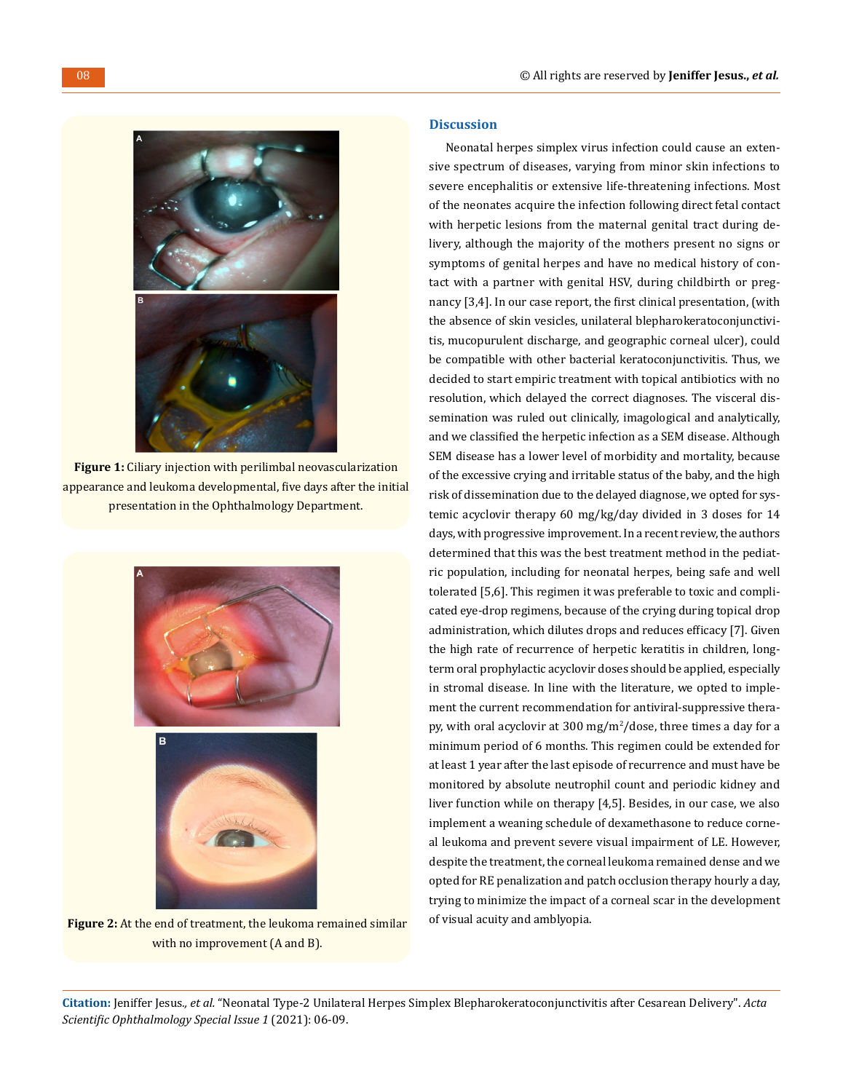

**Figure 1:** Ciliary injection with perilimbal neovascularization appearance and leukoma developmental, five days after the initial presentation in the Ophthalmology Department.



**Figure 2:** At the end of treatment, the leukoma remained similar with no improvement (A and B).

# **Discussion**

Neonatal herpes simplex virus infection could cause an extensive spectrum of diseases, varying from minor skin infections to severe encephalitis or extensive life-threatening infections. Most of the neonates acquire the infection following direct fetal contact with herpetic lesions from the maternal genital tract during delivery, although the majority of the mothers present no signs or symptoms of genital herpes and have no medical history of contact with a partner with genital HSV, during childbirth or pregnancy [3,4]. In our case report, the first clinical presentation, (with the absence of skin vesicles, unilateral blepharokeratoconjunctivitis, mucopurulent discharge, and geographic corneal ulcer), could be compatible with other bacterial keratoconjunctivitis. Thus, we decided to start empiric treatment with topical antibiotics with no resolution, which delayed the correct diagnoses. The visceral dissemination was ruled out clinically, imagological and analytically, and we classified the herpetic infection as a SEM disease. Although SEM disease has a lower level of morbidity and mortality, because of the excessive crying and irritable status of the baby, and the high risk of dissemination due to the delayed diagnose, we opted for systemic acyclovir therapy 60 mg/kg/day divided in 3 doses for 14 days, with progressive improvement. In a recent review, the authors determined that this was the best treatment method in the pediatric population, including for neonatal herpes, being safe and well tolerated [5,6]. This regimen it was preferable to toxic and complicated eye-drop regimens, because of the crying during topical drop administration, which dilutes drops and reduces efficacy [7]. Given the high rate of recurrence of herpetic keratitis in children, longterm oral prophylactic acyclovir doses should be applied, especially in stromal disease. In line with the literature, we opted to implement the current recommendation for antiviral-suppressive therapy, with oral acyclovir at 300 mg/m<sup>2</sup>/dose, three times a day for a minimum period of 6 months. This regimen could be extended for at least 1 year after the last episode of recurrence and must have be monitored by absolute neutrophil count and periodic kidney and liver function while on therapy [4,5]. Besides, in our case, we also implement a weaning schedule of dexamethasone to reduce corneal leukoma and prevent severe visual impairment of LE. However, despite the treatment, the corneal leukoma remained dense and we opted for RE penalization and patch occlusion therapy hourly a day, trying to minimize the impact of a corneal scar in the development of visual acuity and amblyopia.